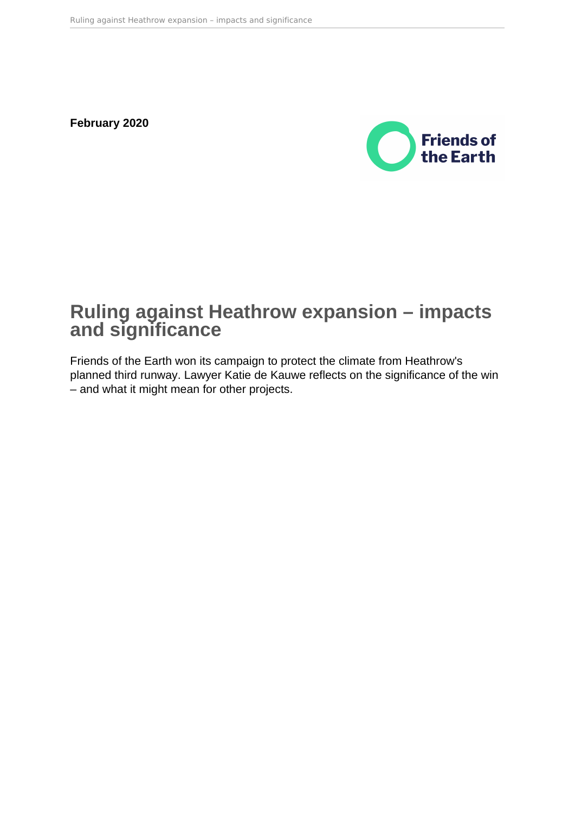**February 2020**



# **Ruling against Heathrow expansion – impacts and significance**

Friends of the Earth won its campaign to protect the climate from Heathrow's planned third runway. Lawyer Katie de Kauwe reflects on the significance of the win – and what it might mean for other projects.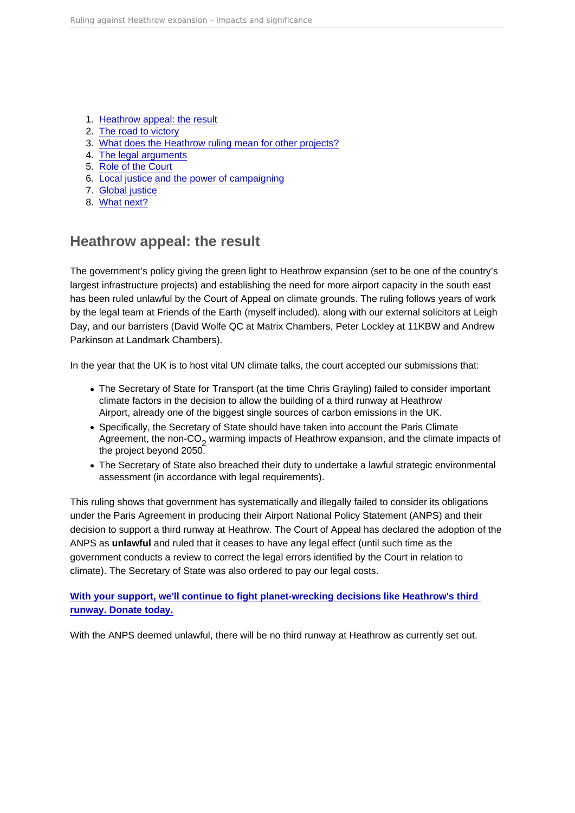- 1. Heathrow appeal: the result
- 2. [The road to victory](#page-2-0)
- 3. [What does the Heathrow ruling mean for other projects?](#page-2-0)
- 4. [The legal arguments](#page-3-0)
- 5. [Role of the Court](#page-4-0)
- 6. [Local justice and the power of campaigning](#page-5-0)
- 7. [Global justice](#page-5-0)
- 8. [What next?](#page-5-0)

# Heathrow appeal: the result

The government's policy giving the green light to Heathrow expansion (set to be one of the country's largest infrastructure projects) and establishing the need for more airport capacity in the south east has been ruled unlawful by the Court of Appeal on climate grounds. The ruling follows years of work by the legal team at Friends of the Earth (myself included), along with our external solicitors at Leigh Day, and our barristers (David Wolfe QC at Matrix Chambers, Peter Lockley at 11KBW and Andrew Parkinson at Landmark Chambers).

In the year that the UK is to host vital UN climate talks, the court accepted our submissions that:

- The Secretary of State for Transport (at the time Chris Grayling) failed to consider important climate factors in the decision to allow the building of a third runway at Heathrow Airport, already one of the biggest single sources of carbon emissions in the UK.
- Specifically, the Secretary of State should have taken into account the Paris Climate Agreement, the non-CO<sub>2</sub> warming impacts of Heathrow expansion, and the climate impacts of the project beyond 2050.
- The Secretary of State also breached their duty to undertake a lawful strategic environmental assessment (in accordance with legal requirements).

This ruling shows that government has systematically and illegally failed to consider its obligations under the Paris Agreement in producing their Airport National Policy Statement (ANPS) and their decision to support a third runway at Heathrow. The Court of Appeal has declared the adoption of the ANPS as unlawful and ruled that it ceases to have any legal effect (until such time as the government conducts a review to correct the legal errors identified by the Court in relation to climate). The Secretary of State was also ordered to pay our legal costs.

[With your support, we'll continue to fight planet-wrecking decisions like Heathrow's third](https://policy.friendsoftheearth.uk/link/donate-today-protect-our-climate)  [runway. Donate today.](https://policy.friendsoftheearth.uk/link/donate-today-protect-our-climate)

With the ANPS deemed unlawful, there will be no third runway at Heathrow as currently set out.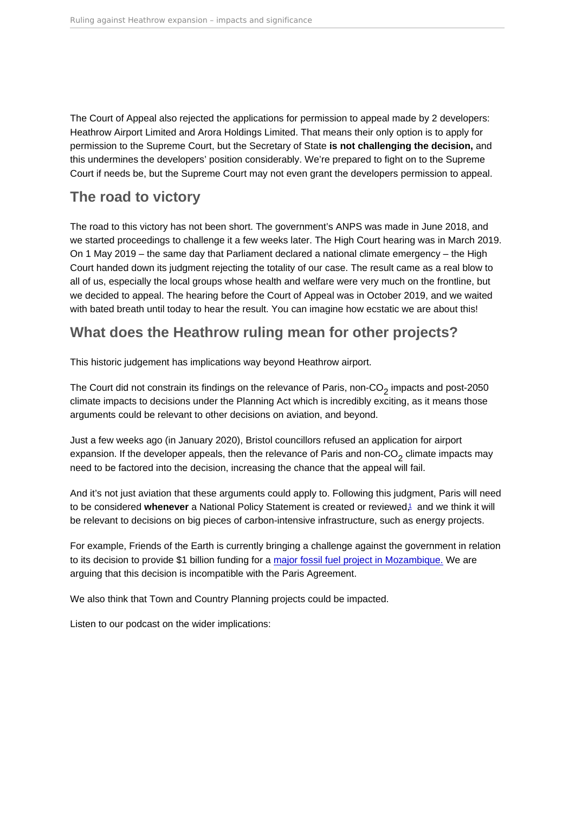<span id="page-2-0"></span>The Court of Appeal also rejected the applications for permission to appeal made by 2 developers: Heathrow Airport Limited and Arora Holdings Limited. That means their only option is to apply for permission to the Supreme Court, but the Secretary of State is not challenging the decision, and this undermines the developers' position considerably. We're prepared to fight on to the Supreme Court if needs be, but the Supreme Court may not even grant the developers permission to appeal.

## The road to victory

The road to this victory has not been short. The government's ANPS was made in June 2018, and we started proceedings to challenge it a few weeks later. The High Court hearing was in March 2019. On 1 May 2019 – the same day that Parliament declared a national climate emergency – the High Court handed down its judgment rejecting the totality of our case. The result came as a real blow to all of us, especially the local groups whose health and welfare were very much on the frontline, but we decided to appeal. The hearing before the Court of Appeal was in October 2019, and we waited with bated breath until today to hear the result. You can imagine how ecstatic we are about this!

# What does the Heathrow ruling mean for other projects?

This historic judgement has implications way beyond Heathrow airport.

The Court did not constrain its findings on the relevance of Paris, non-CO<sub>2</sub> impacts and post-2050 climate impacts to decisions under the Planning Act which is incredibly exciting, as it means those arguments could be relevant to other decisions on aviation, and beyond.

Just a few weeks ago (in January 2020), Bristol councillors refused an application for airport expansion. If the developer appeals, then the relevance of Paris and non-CO<sub>2</sub> climate impacts may need to be factored into the decision, increasing the chance that the appeal will fail.

And it's not just aviation that these arguments could apply to. Following this judgment, Paris will need to be considered whenever a National Policy Statement is created or reviewed,<sup>[1](#page-7-0)</sup> and we think it will be relevant to decisions on big pieces of carbon-intensive infrastructure, such as energy projects.

For example, Friends of the Earth is currently bringing a challenge against the government in relation to its decision to provide \$1 billion funding for a [major fossil fuel project in Mozambique.](https://friendsoftheearth.uk/climate-change/your-money-funding-fossil-fuel-projects) We are arguing that this decision is incompatible with the Paris Agreement.

We also think that Town and Country Planning projects could be impacted.

Listen to our podcast on the wider implications: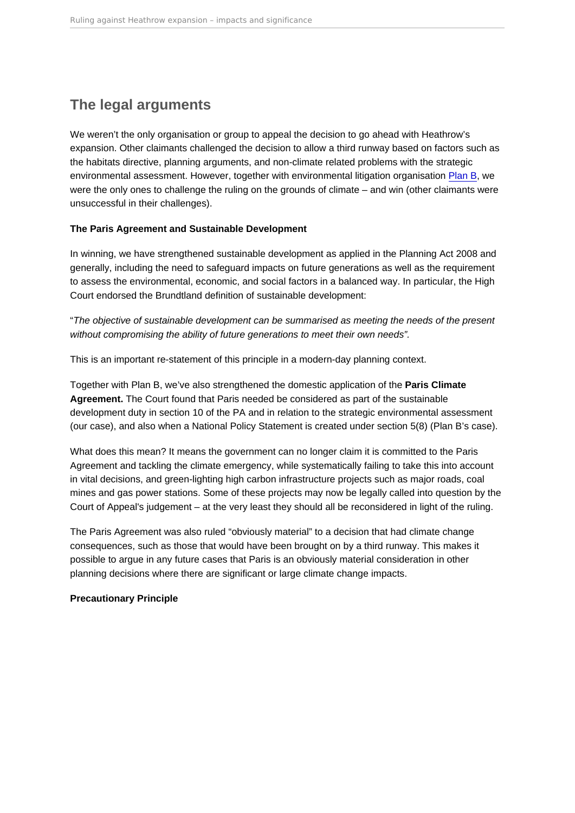# <span id="page-3-0"></span>The legal arguments

We weren't the only organisation or group to appeal the decision to go ahead with Heathrow's expansion. Other claimants challenged the decision to allow a third runway based on factors such as the habitats directive, planning arguments, and non-climate related problems with the strategic environmental assessment. However, together with environmental litigation organisation [Plan B,](https://planb.earth/) we were the only ones to challenge the ruling on the grounds of climate – and win (other claimants were unsuccessful in their challenges).

The Paris Agreement and Sustainable Development

In winning, we have strengthened sustainable development as applied in the Planning Act 2008 and generally, including the need to safeguard impacts on future generations as well as the requirement to assess the environmental, economic, and social factors in a balanced way. In particular, the High Court endorsed the Brundtland definition of sustainable development:

"The objective of sustainable development can be summarised as meeting the needs of the present without compromising the ability of future generations to meet their own needs".

This is an important re-statement of this principle in a modern-day planning context.

Together with Plan B, we've also strengthened the domestic application of the Paris Climate Agreement. The Court found that Paris needed be considered as part of the sustainable development duty in section 10 of the PA and in relation to the strategic environmental assessment (our case), and also when a National Policy Statement is created under section 5(8) (Plan B's case).

What does this mean? It means the government can no longer claim it is committed to the Paris Agreement and tackling the climate emergency, while systematically failing to take this into account in vital decisions, and green-lighting high carbon infrastructure projects such as major roads, coal mines and gas power stations. Some of these projects may now be legally called into question by the Court of Appeal's judgement – at the very least they should all be reconsidered in light of the ruling.

The Paris Agreement was also ruled "obviously material" to a decision that had climate change consequences, such as those that would have been brought on by a third runway. This makes it possible to argue in any future cases that Paris is an obviously material consideration in other planning decisions where there are significant or large climate change impacts.

Precautionary Principle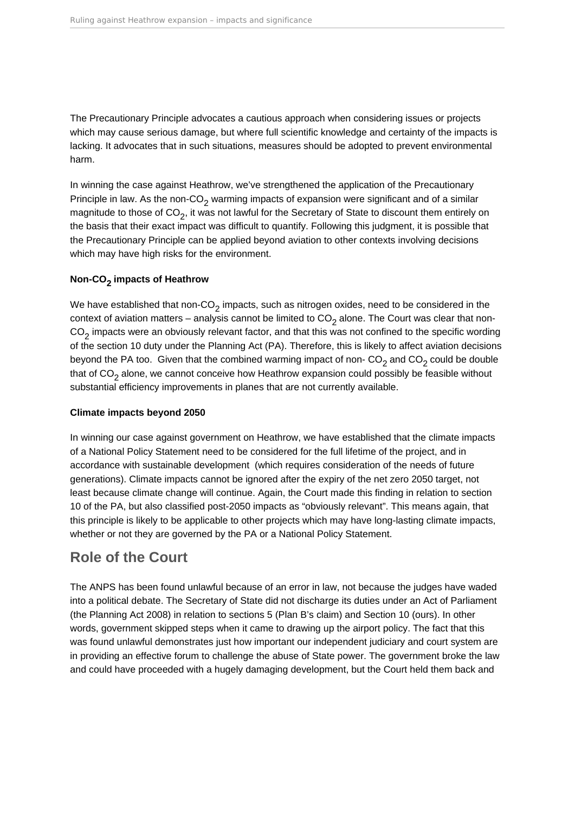<span id="page-4-0"></span>The Precautionary Principle advocates a cautious approach when considering issues or projects which may cause serious damage, but where full scientific knowledge and certainty of the impacts is lacking. It advocates that in such situations, measures should be adopted to prevent environmental harm.

In winning the case against Heathrow, we've strengthened the application of the Precautionary Principle in law. As the non-CO<sub>2</sub> warming impacts of expansion were significant and of a similar magnitude to those of CO<sub>2</sub>, it was not lawful for the Secretary of State to discount them entirely on the basis that their exact impact was difficult to quantify. Following this judgment, it is possible that the Precautionary Principle can be applied beyond aviation to other contexts involving decisions which may have high risks for the environment.

#### **Non-CO2 impacts of Heathrow**

We have established that non-CO<sub>2</sub> impacts, such as nitrogen oxides, need to be considered in the context of aviation matters – analysis cannot be limited to  $CO<sub>2</sub>$  alone. The Court was clear that non- $CO_2$  impacts were an obviously relevant factor, and that this was not confined to the specific wording of the section 10 duty under the Planning Act (PA). Therefore, this is likely to affect aviation decisions beyond the PA too. Given that the combined warming impact of non- $CO<sub>2</sub>$  and  $CO<sub>2</sub>$  could be double that of  $CO<sub>2</sub>$  alone, we cannot conceive how Heathrow expansion could possibly be feasible without substantial efficiency improvements in planes that are not currently available.

#### **Climate impacts beyond 2050**

In winning our case against government on Heathrow, we have established that the climate impacts of a National Policy Statement need to be considered for the full lifetime of the project, and in accordance with sustainable development (which requires consideration of the needs of future generations). Climate impacts cannot be ignored after the expiry of the net zero 2050 target, not least because climate change will continue. Again, the Court made this finding in relation to section 10 of the PA, but also classified post-2050 impacts as "obviously relevant". This means again, that this principle is likely to be applicable to other projects which may have long-lasting climate impacts, whether or not they are governed by the PA or a National Policy Statement.

### **Role of the Court**

The ANPS has been found unlawful because of an error in law, not because the judges have waded into a political debate. The Secretary of State did not discharge its duties under an Act of Parliament (the Planning Act 2008) in relation to sections 5 (Plan B's claim) and Section 10 (ours). In other words, government skipped steps when it came to drawing up the airport policy. The fact that this was found unlawful demonstrates just how important our independent judiciary and court system are in providing an effective forum to challenge the abuse of State power. The government broke the law and could have proceeded with a hugely damaging development, but the Court held them back and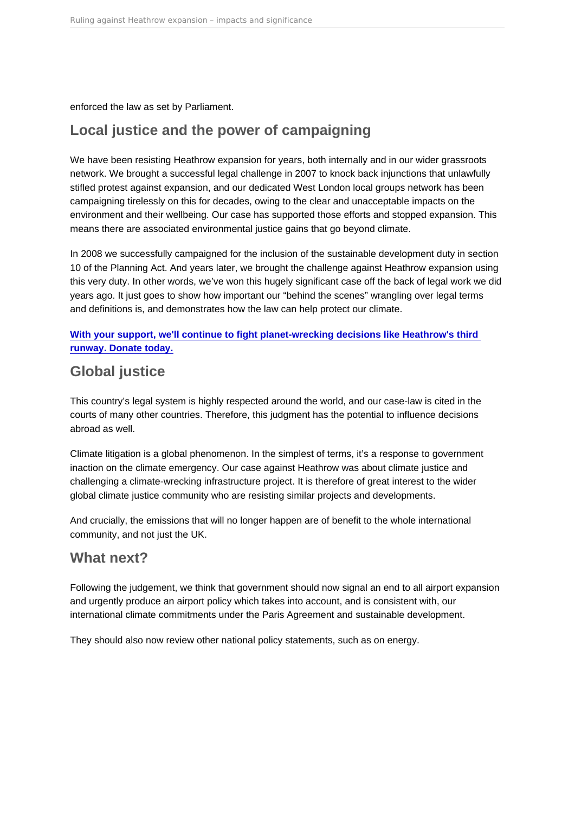<span id="page-5-0"></span>enforced the law as set by Parliament.

# Local justice and the power of campaigning

We have been resisting Heathrow expansion for years, both internally and in our wider grassroots network. We brought a successful legal challenge in 2007 to knock back injunctions that unlawfully stifled protest against expansion, and our dedicated West London local groups network has been campaigning tirelessly on this for decades, owing to the clear and unacceptable impacts on the environment and their wellbeing. Our case has supported those efforts and stopped expansion. This means there are associated environmental justice gains that go beyond climate.

In 2008 we successfully campaigned for the inclusion of the sustainable development duty in section 10 of the Planning Act. And years later, we brought the challenge against Heathrow expansion using this very duty. In other words, we've won this hugely significant case off the back of legal work we did years ago. It just goes to show how important our "behind the scenes" wrangling over legal terms and definitions is, and demonstrates how the law can help protect our climate.

[With your support, we'll continue to fight planet-wrecking decisions like Heathrow's third](https://policy.friendsoftheearth.uk/link/donate-today-protect-our-climate)  [runway. Donate today.](https://policy.friendsoftheearth.uk/link/donate-today-protect-our-climate)

## Global justice

This country's legal system is highly respected around the world, and our case-law is cited in the courts of many other countries. Therefore, this judgment has the potential to influence decisions abroad as well.

Climate litigation is a global phenomenon. In the simplest of terms, it's a response to government inaction on the climate emergency. Our case against Heathrow was about climate justice and challenging a climate-wrecking infrastructure project. It is therefore of great interest to the wider global climate justice community who are resisting similar projects and developments.

And crucially, the emissions that will no longer happen are of benefit to the whole international community, and not just the UK.

### What next?

Following the judgement, we think that government should now signal an end to all airport expansion and urgently produce an airport policy which takes into account, and is consistent with, our international climate commitments under the Paris Agreement and sustainable development.

They should also now review other national policy statements, such as on energy.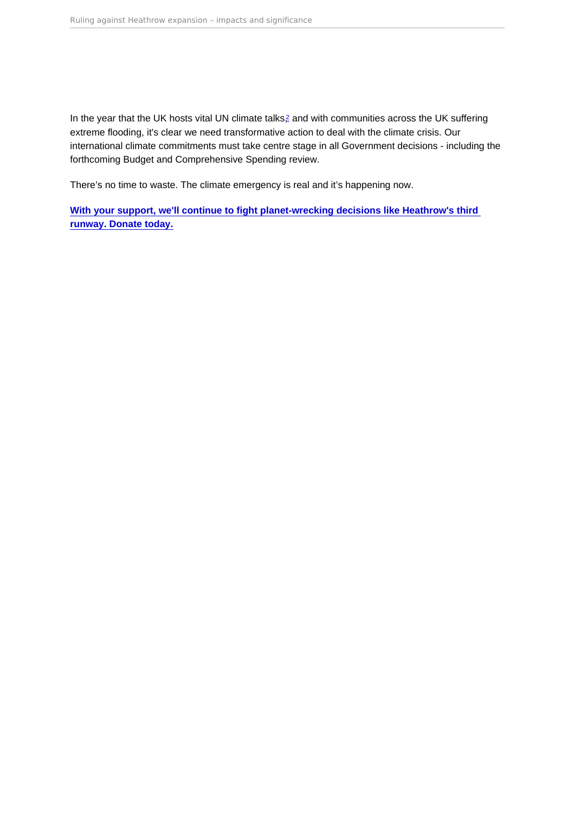<span id="page-6-0"></span>In the year that the UK hosts vital UN climate talks,<sup>[2](#page-7-0)</sup> and with communities across the UK suffering extreme flooding, it's clear we need transformative action to deal with the climate crisis. Our international climate commitments must take centre stage in all Government decisions - including the forthcoming Budget and Comprehensive Spending review.

There's no time to waste. The climate emergency is real and it's happening now.

[With your support, we'll continue to fight planet-wrecking decisions like Heathrow's third](https://policy.friendsoftheearth.uk/link/donate-today-protect-our-climate)  [runway. Donate today.](https://policy.friendsoftheearth.uk/link/donate-today-protect-our-climate)